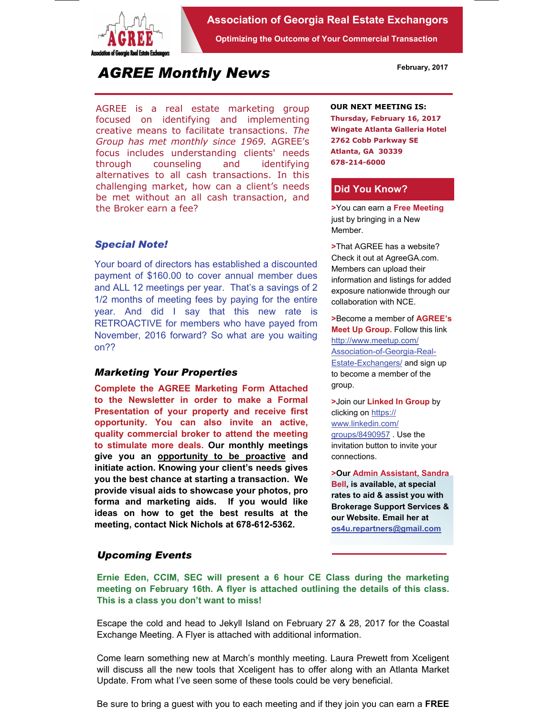

**Association of Georgia Real Estate Exchangors** 

**Optimizing the Outcome of Your Commercial Transaction** 

# *AGREE Monthly News*

AGREE is a real estate marketing group focused on identifying and implementing creative means to facilitate transactions. *The Group has met monthly since 1969.* AGREE's focus includes understanding clients' needs through counseling and identifying alternatives to all cash transactions. In this challenging market, how can a client's needs be met without an all cash transaction, and the Broker earn a fee?

## *Special Note!*

Your board of directors has established a discounted payment of \$160.00 to cover annual member dues and ALL 12 meetings per year. That's a savings of 2 1/2 months of meeting fees by paying for the entire year. And did I say that this new rate is RETROACTIVE for members who have payed from November, 2016 forward? So what are you waiting on??

### *Marketing Your Properties*

**Complete the AGREE Marketing Form Attached to the Newsletter in order to make a Formal Presentation of your property and receive first opportunity. You can also invite an active, quality commercial broker to attend the meeting to stimulate more deals. Our monthly meetings give you an opportunity to be proactive and initiate action. Knowing your client's needs gives you the best chance at starting a transaction. We provide visual aids to showcase your photos, pro forma and marketing aids. If you would like ideas on how to get the best results at the meeting, contact Nick Nichols at 678-612-5362.** 

#### **OUR NEXT MEETING IS:**

**Thursday, February 16, 2017 Wingate Atlanta Galleria Hotel 2762 Cobb Parkway SE Atlanta, GA 30339 678-214-6000** 

#### **Did You Know?**

**>**You can earn a **Free Meeting**  just by bringing in a New Member.

**>**That AGREE has a website? Check it out at AgreeGA.com. Members can upload their information and listings for added exposure nationwide through our collaboration with NCE.

**>**Become a member of **AGREE's Meet Up Group.** Follow this link http://www.meetup.com/ Association-of-Georgia-Real-Estate-Exchangers/ and sign up to become a member of the group.

**>**Join our **Linked In Group** by clicking on https:// www.linkedin.com/ groups/8490957 . Use the invitation button to invite your connections.

**>Our Admin Assistant, Sandra Bell, is available, at special rates to aid & assist you with Brokerage Support Services & our Website. Email her at os4u.repartners@gmail.com**

### *Upcoming Events*

**Ernie Eden, CCIM, SEC will present a 6 hour CE Class during the marketing meeting on February 16th. A flyer is attached outlining the details of this class. This is a class you don't want to miss!** 

Escape the cold and head to Jekyll Island on February 27 & 28, 2017 for the Coastal Exchange Meeting. A Flyer is attached with additional information.

Come learn something new at March's monthly meeting. Laura Prewett from Xceligent will discuss all the new tools that Xceligent has to offer along with an Atlanta Market Update. From what I've seen some of these tools could be very beneficial.

Be sure to bring a guest with you to each meeting and if they join you can earn a **FREE** 

**February, 2017**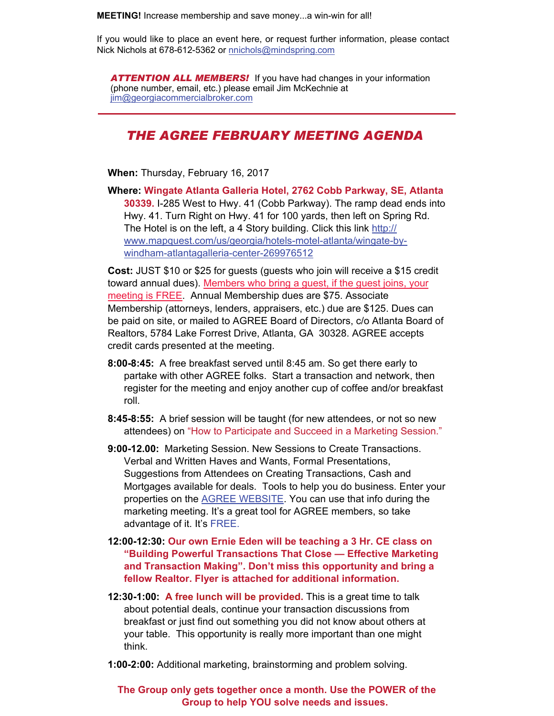**MEETING!** Increase membership and save money...a win-win for all!

If you would like to place an event here, or request further information, please contact Nick Nichols at 678-612-5362 or nnichols@mindspring.com

Be sure to bring a guest with you to each meeting and if they join you can earn a **FREE** 

*ATTENTION ALL MEMBERS!* If you have had changes in your information (phone number, email, etc.) please email Jim McKechnie at jim@georgiacommercialbroker.com

# *THE AGREE FEBRUARY MEETING AGENDA*

**When:** Thursday, February 16, 2017

**Where: Wingate Atlanta Galleria Hotel, 2762 Cobb Parkway, SE, Atlanta 30339.** I-285 West to Hwy. 41 (Cobb Parkway). The ramp dead ends into Hwy. 41. Turn Right on Hwy. 41 for 100 yards, then left on Spring Rd. The Hotel is on the left, a 4 Story building. Click this link http:// www.mapquest.com/us/georgia/hotels-motel-atlanta/wingate-bywindham-atlantagalleria-center-269976512

**Cost:** JUST \$10 or \$25 for guests (guests who join will receive a \$15 credit toward annual dues). Members who bring a guest, if the guest joins, your meeting is FREE. Annual Membership dues are \$75. Associate Membership (attorneys, lenders, appraisers, etc.) due are \$125. Dues can be paid on site, or mailed to AGREE Board of Directors, c/o Atlanta Board of Realtors, 5784 Lake Forrest Drive, Atlanta, GA 30328. AGREE accepts credit cards presented at the meeting.

- **8:00-8:45:** A free breakfast served until 8:45 am. So get there early to partake with other AGREE folks. Start a transaction and network, then register for the meeting and enjoy another cup of coffee and/or breakfast roll.
- **8:45-8:55:** A brief session will be taught (for new attendees, or not so new attendees) on "How to Participate and Succeed in a Marketing Session."

**9:00-12.00:** Marketing Session. New Sessions to Create Transactions. Verbal and Written Haves and Wants, Formal Presentations, Suggestions from Attendees on Creating Transactions, Cash and Mortgages available for deals. Tools to help you do business. Enter your properties on the AGREE WEBSITE. You can use that info during the marketing meeting. It's a great tool for AGREE members, so take advantage of it. It's FREE.

- **12:00-12:30: Our own Ernie Eden will be teaching a 3 Hr. CE class on "Building Powerful Transactions That Close — Effective Marketing and Transaction Making". Don't miss this opportunity and bring a fellow Realtor. Flyer is attached for additional information.**
- **12:30-1:00: A free lunch will be provided.** This is a great time to talk about potential deals, continue your transaction discussions from breakfast or just find out something you did not know about others at your table. This opportunity is really more important than one might think.
- **1:00-2:00:** Additional marketing, brainstorming and problem solving.

**The Group only gets together once a month. Use the POWER of the Group to help YOU solve needs and issues.**